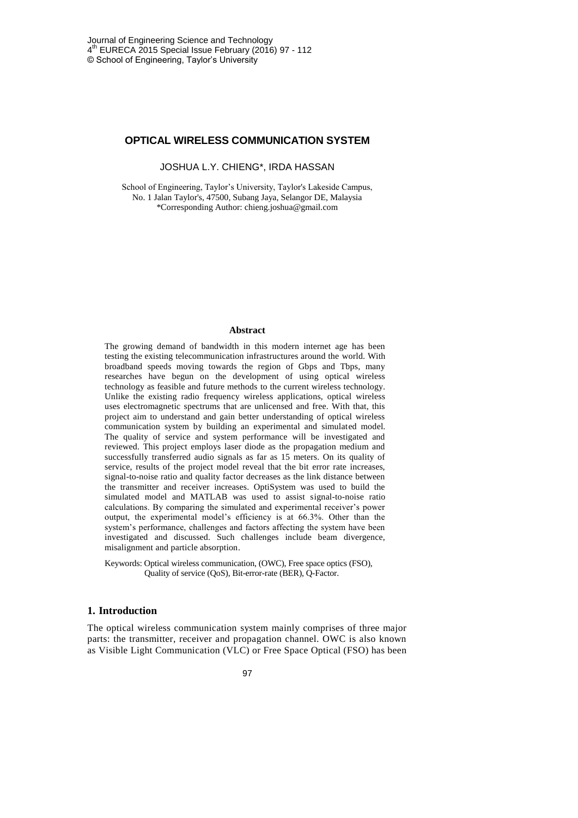## **OPTICAL WIRELESS COMMUNICATION SYSTEM**

JOSHUA L.Y. CHIENG\*, IRDA HASSAN

School of Engineering, Taylor's University, Taylor's Lakeside Campus, No. 1 Jalan Taylor's, 47500, Subang Jaya, Selangor DE, Malaysia \*Corresponding Author: chieng.joshua@gmail.com

#### **Abstract**

The growing demand of bandwidth in this modern internet age has been testing the existing telecommunication infrastructures around the world. With broadband speeds moving towards the region of Gbps and Tbps, many researches have begun on the development of using optical wireless technology as feasible and future methods to the current wireless technology. Unlike the existing radio frequency wireless applications, optical wireless uses electromagnetic spectrums that are unlicensed and free. With that, this project aim to understand and gain better understanding of optical wireless communication system by building an experimental and simulated model. The quality of service and system performance will be investigated and reviewed. This project employs laser diode as the propagation medium and successfully transferred audio signals as far as 15 meters. On its quality of service, results of the project model reveal that the bit error rate increases, signal-to-noise ratio and quality factor decreases as the link distance between the transmitter and receiver increases. OptiSystem was used to build the simulated model and MATLAB was used to assist signal-to-noise ratio calculations. By comparing the simulated and experimental receiver's power output, the experimental model's efficiency is at 66.3%. Other than the system's performance, challenges and factors affecting the system have been investigated and discussed. Such challenges include beam divergence, misalignment and particle absorption.

Keywords: Optical wireless communication, (OWC), Free space optics (FSO), Quality of service (QoS), Bit-error-rate (BER), Q-Factor.

## **1. Introduction**

The optical wireless communication system mainly comprises of three major parts: the transmitter, receiver and propagation channel. OWC is also known as Visible Light Communication (VLC) or Free Space Optical (FSO) has been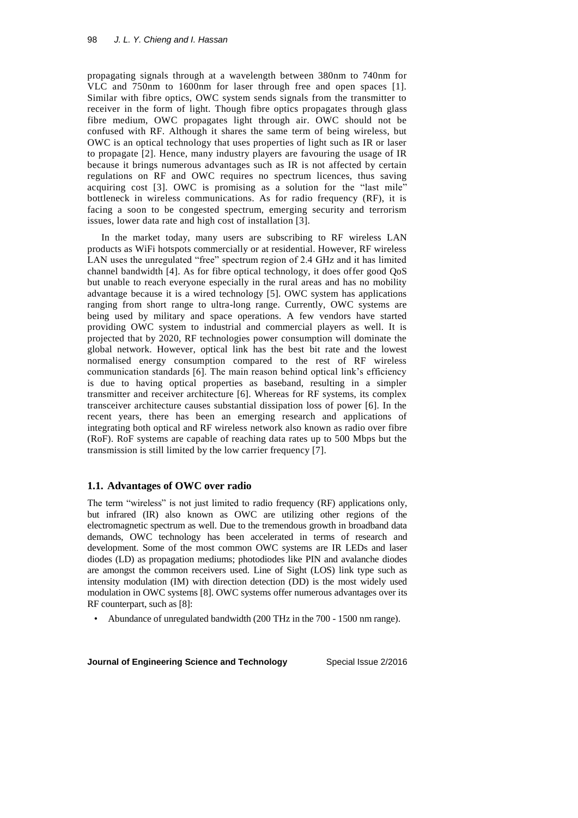propagating signals through at a wavelength between 380nm to 740nm for VLC and 750nm to 1600nm for laser through free and open spaces [1]. Similar with fibre optics, OWC system sends signals from the transmitter to receiver in the form of light. Though fibre optics propagates through glass fibre medium, OWC propagates light through air. OWC should not be confused with RF. Although it shares the same term of being wireless, but OWC is an optical technology that uses properties of light such as IR or laser to propagate [2]. Hence, many industry players are favouring the usage of IR because it brings numerous advantages such as IR is not affected by certain regulations on RF and OWC requires no spectrum licences, thus saving acquiring cost [3]. OWC is promising as a solution for the "last mile" bottleneck in wireless communications. As for radio frequency (RF), it is facing a soon to be congested spectrum, emerging security and terrorism issues, lower data rate and high cost of installation [3].

In the market today, many users are subscribing to RF wireless LAN products as WiFi hotspots commercially or at residential. However, RF wireless LAN uses the unregulated "free" spectrum region of 2.4 GHz and it has limited channel bandwidth [4]. As for fibre optical technology, it does offer good QoS but unable to reach everyone especially in the rural areas and has no mobility advantage because it is a wired technology [5]. OWC system has applications ranging from short range to ultra-long range. Currently, OWC systems are being used by military and space operations. A few vendors have started providing OWC system to industrial and commercial players as well. It is projected that by 2020, RF technologies power consumption will dominate the global network. However, optical link has the best bit rate and the lowest normalised energy consumption compared to the rest of RF wireless communication standards [6]. The main reason behind optical link's efficiency is due to having optical properties as baseband, resulting in a simpler transmitter and receiver architecture [6]. Whereas for RF systems, its complex transceiver architecture causes substantial dissipation loss of power [6]. In the recent years, there has been an emerging research and applications of integrating both optical and RF wireless network also known as radio over fibre (RoF). RoF systems are capable of reaching data rates up to 500 Mbps but the transmission is still limited by the low carrier frequency [7].

## **1.1. Advantages of OWC over radio**

The term "wireless" is not just limited to radio frequency (RF) applications only, but infrared (IR) also known as OWC are utilizing other regions of the electromagnetic spectrum as well. Due to the tremendous growth in broadband data demands, OWC technology has been accelerated in terms of research and development. Some of the most common OWC systems are IR LEDs and laser diodes (LD) as propagation mediums; photodiodes like PIN and avalanche diodes are amongst the common receivers used. Line of Sight (LOS) link type such as intensity modulation (IM) with direction detection (DD) is the most widely used modulation in OWC systems [8]. OWC systems offer numerous advantages over its RF counterpart, such as [8]:

• Abundance of unregulated bandwidth (200 THz in the 700 - 1500 nm range).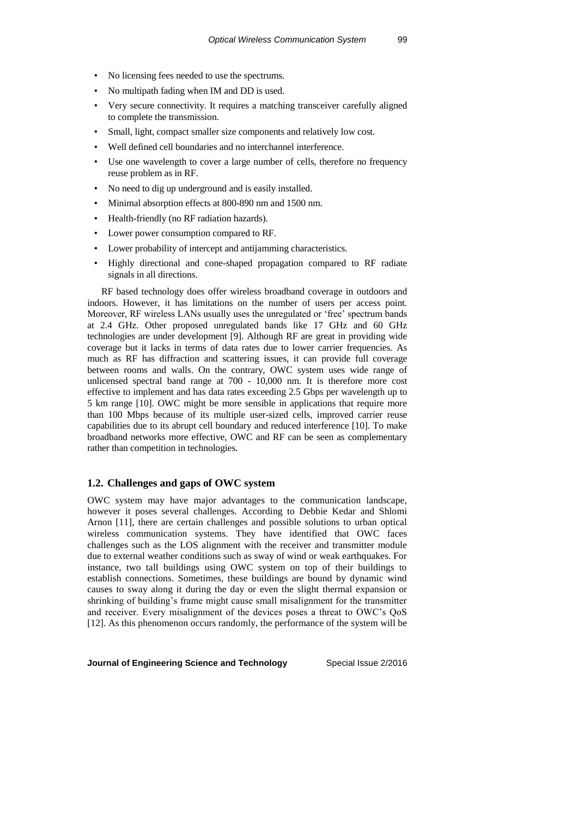- No licensing fees needed to use the spectrums.
- No multipath fading when IM and DD is used.
- Very secure connectivity. It requires a matching transceiver carefully aligned to complete the transmission.
- Small, light, compact smaller size components and relatively low cost.
- Well defined cell boundaries and no interchannel interference.
- Use one wavelength to cover a large number of cells, therefore no frequency reuse problem as in RF.
- No need to dig up underground and is easily installed.
- Minimal absorption effects at 800-890 nm and 1500 nm.
- Health-friendly (no RF radiation hazards).
- Lower power consumption compared to RF.
- Lower probability of intercept and antijamming characteristics.
- Highly directional and cone-shaped propagation compared to RF radiate signals in all directions.

RF based technology does offer wireless broadband coverage in outdoors and indoors. However, it has limitations on the number of users per access point. Moreover, RF wireless LANs usually uses the unregulated or 'free' spectrum bands at 2.4 GHz. Other proposed unregulated bands like 17 GHz and 60 GHz technologies are under development [9]. Although RF are great in providing wide coverage but it lacks in terms of data rates due to lower carrier frequencies. As much as RF has diffraction and scattering issues, it can provide full coverage between rooms and walls. On the contrary, OWC system uses wide range of unlicensed spectral band range at 700 - 10,000 nm. It is therefore more cost effective to implement and has data rates exceeding 2.5 Gbps per wavelength up to 5 km range [10]. OWC might be more sensible in applications that require more than 100 Mbps because of its multiple user-sized cells, improved carrier reuse capabilities due to its abrupt cell boundary and reduced interference [10]. To make broadband networks more effective, OWC and RF can be seen as complementary rather than competition in technologies.

# **1.2. Challenges and gaps of OWC system**

OWC system may have major advantages to the communication landscape, however it poses several challenges. According to Debbie Kedar and Shlomi Arnon [11], there are certain challenges and possible solutions to urban optical wireless communication systems. They have identified that OWC faces challenges such as the LOS alignment with the receiver and transmitter module due to external weather conditions such as sway of wind or weak earthquakes. For instance, two tall buildings using OWC system on top of their buildings to establish connections. Sometimes, these buildings are bound by dynamic wind causes to sway along it during the day or even the slight thermal expansion or shrinking of building's frame might cause small misalignment for the transmitter and receiver. Every misalignment of the devices poses a threat to OWC's QoS [12]. As this phenomenon occurs randomly, the performance of the system will be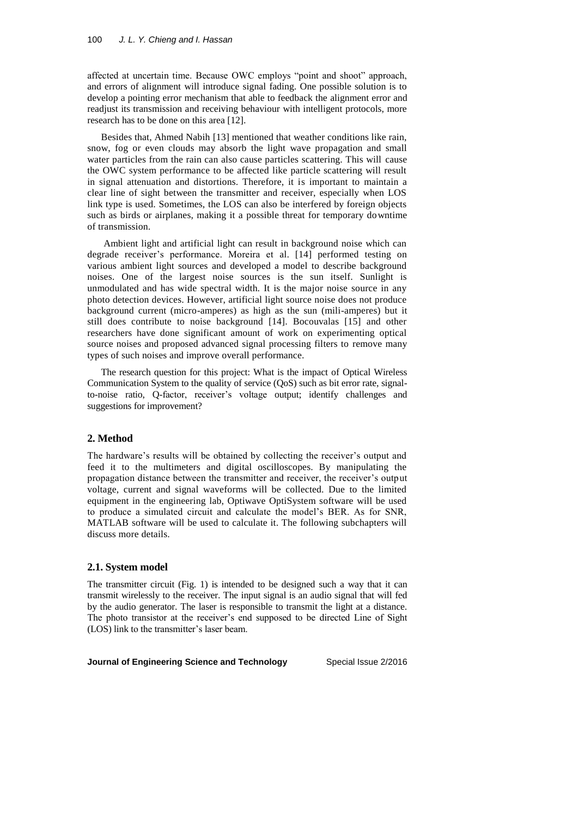affected at uncertain time. Because OWC employs "point and shoot" approach, and errors of alignment will introduce signal fading. One possible solution is to develop a pointing error mechanism that able to feedback the alignment error and readjust its transmission and receiving behaviour with intelligent protocols, more research has to be done on this area [12].

Besides that, Ahmed Nabih [13] mentioned that weather conditions like rain, snow, fog or even clouds may absorb the light wave propagation and small water particles from the rain can also cause particles scattering. This will cause the OWC system performance to be affected like particle scattering will result in signal attenuation and distortions. Therefore, it is important to maintain a clear line of sight between the transmitter and receiver, especially when LOS link type is used. Sometimes, the LOS can also be interfered by foreign objects such as birds or airplanes, making it a possible threat for temporary downtime of transmission.

Ambient light and artificial light can result in background noise which can degrade receiver's performance. Moreira et al. [14] performed testing on various ambient light sources and developed a model to describe background noises. One of the largest noise sources is the sun itself. Sunlight is unmodulated and has wide spectral width. It is the major noise source in any photo detection devices. However, artificial light source noise does not produce background current (micro-amperes) as high as the sun (mili-amperes) but it still does contribute to noise background [14]. Bocouvalas [15] and other researchers have done significant amount of work on experimenting optical source noises and proposed advanced signal processing filters to remove many types of such noises and improve overall performance.

The research question for this project: What is the impact of Optical Wireless Communication System to the quality of service (QoS) such as bit error rate, signalto-noise ratio, Q-factor, receiver's voltage output; identify challenges and suggestions for improvement?

#### **2. Method**

The hardware's results will be obtained by collecting the receiver's output and feed it to the multimeters and digital oscilloscopes. By manipulating the propagation distance between the transmitter and receiver, the receiver's output voltage, current and signal waveforms will be collected. Due to the limited equipment in the engineering lab, Optiwave OptiSystem software will be used to produce a simulated circuit and calculate the model's BER. As for SNR, MATLAB software will be used to calculate it. The following subchapters will discuss more details.

#### **2.1. System model**

The transmitter circuit (Fig. 1) is intended to be designed such a way that it can transmit wirelessly to the receiver. The input signal is an audio signal that will fed by the audio generator. The laser is responsible to transmit the light at a distance. The photo transistor at the receiver's end supposed to be directed Line of Sight (LOS) link to the transmitter's laser beam.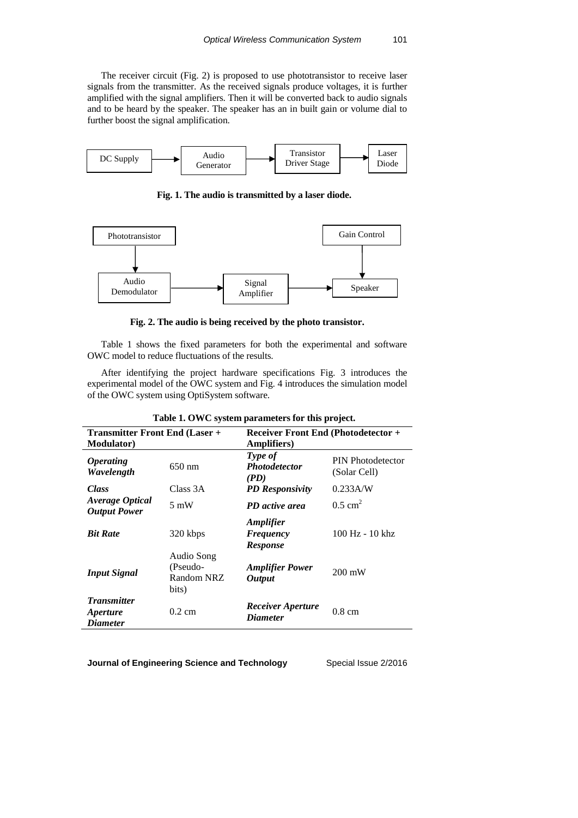The receiver circuit (Fig. 2) is proposed to use phototransistor to receive laser signals from the transmitter. As the received signals produce voltages, it is further amplified with the signal amplifiers. Then it will be converted back to audio signals and to be heard by the speaker. The speaker has an in built gain or volume dial to further boost the signal amplification.



**Fig. 1. The audio is transmitted by a laser diode.**



**Fig. 2. The audio is being received by the photo transistor.**

Table 1 shows the fixed parameters for both the experimental and software OWC model to reduce fluctuations of the results.

After identifying the project hardware specifications Fig. 3 introduces the experimental model of the OWC system and Fig. 4 introduces the simulation model of the OWC system using OptiSystem software.

| <b>Transmitter Front End (Laser +</b><br><b>Modulator</b> ) |                                               | <b>Receiver Front End (Photodetector +</b><br><b>Amplifiers</b> ) |                                          |  |  |
|-------------------------------------------------------------|-----------------------------------------------|-------------------------------------------------------------------|------------------------------------------|--|--|
| <i><b>Operating</b></i><br>Wavelength                       | $650 \text{ nm}$                              | Type of<br><i>Photodetector</i><br>(PD)                           | <b>PIN Photodetector</b><br>(Solar Cell) |  |  |
| <b>Class</b>                                                | Class 3A                                      | <b>PD</b> Responsivity                                            | $0.233$ A/W                              |  |  |
| <b>Average Optical</b><br><b>Output Power</b>               | $5 \text{ mW}$                                | PD active area                                                    | $0.5$ cm <sup>2</sup>                    |  |  |
| <b>Bit Rate</b>                                             | 320 kbps                                      | <b>Amplifier</b><br>Frequency<br><b>Response</b>                  | 100 Hz - 10 khz                          |  |  |
| <b>Input Signal</b>                                         | Audio Song<br>(Pseudo-<br>Random NRZ<br>bits) | <b>Amplifier Power</b><br><b>Output</b>                           | $200 \text{ mW}$                         |  |  |
| <b>Transmitter</b><br><i>Aperture</i><br><i>Diameter</i>    | $0.2 \text{ cm}$                              | <b>Receiver Aperture</b><br><b>Diameter</b>                       | $0.8 \text{ cm}$                         |  |  |

|  |  |  | Table 1. OWC system parameters for this project. |  |  |  |  |
|--|--|--|--------------------------------------------------|--|--|--|--|
|--|--|--|--------------------------------------------------|--|--|--|--|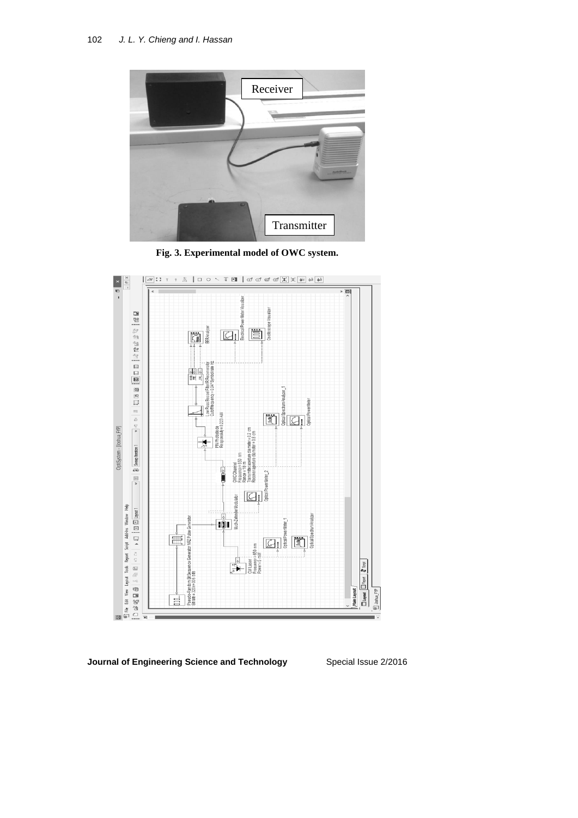

**Fig. 3. Experimental model of OWC system.**



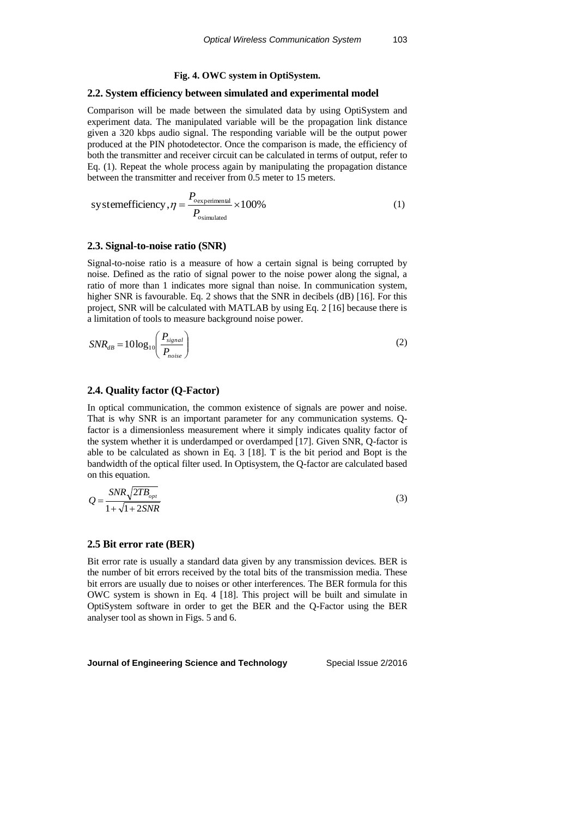#### **Fig. 4. OWC system in OptiSystem.**

#### **2.2. System efficiency between simulated and experimental model**

Comparison will be made between the simulated data by using OptiSystem and experiment data. The manipulated variable will be the propagation link distance given a 320 kbps audio signal. The responding variable will be the output power produced at the PIN photodetector. Once the comparison is made, the efficiency of both the transmitter and receiver circuit can be calculated in terms of output, refer to Eq. (1). Repeat the whole process again by manipulating the propagation distance between the transmitter and receiver from 0.5 meter to 15 meters.

$$
systemefficiency, \eta = \frac{P_{o}{_{\text{expendicular}}} \times 100\% \tag{1}
$$

#### **2.3. Signal-to-noise ratio (SNR)**

Signal-to-noise ratio is a measure of how a certain signal is being corrupted by noise. Defined as the ratio of signal power to the noise power along the signal, a ratio of more than 1 indicates more signal than noise. In communication system, higher SNR is favourable. Eq. 2 shows that the SNR in decibels (dB) [16]. For this project, SNR will be calculated with MATLAB by using Eq. 2 [16] because there is a limitation of tools to measure background noise power.

$$
SNR_{dB} = 10\log_{10}\left(\frac{P_{signal}}{P_{noise}}\right)
$$
 (2)

#### **2.4. Quality factor (Q-Factor)**

In optical communication, the common existence of signals are power and noise. That is why SNR is an important parameter for any communication systems. Qfactor is a dimensionless measurement where it simply indicates quality factor of the system whether it is underdamped or overdamped [17]. Given SNR, Q-factor is able to be calculated as shown in Eq. 3 [18]. T is the bit period and Bopt is the bandwidth of the optical filter used. In Optisystem, the Q-factor are calculated based on this equation.

$$
Q = \frac{SNR\sqrt{2TB_{opt}}}{1 + \sqrt{1 + 2SNR}}
$$
\n(3)

#### **2.5 Bit error rate (BER)**

Bit error rate is usually a standard data given by any transmission devices. BER is the number of bit errors received by the total bits of the transmission media. These bit errors are usually due to noises or other interferences. The BER formula for this OWC system is shown in Eq. 4 [18]. This project will be built and simulate in OptiSystem software in order to get the BER and the Q-Factor using the BER analyser tool as shown in Figs. 5 and 6.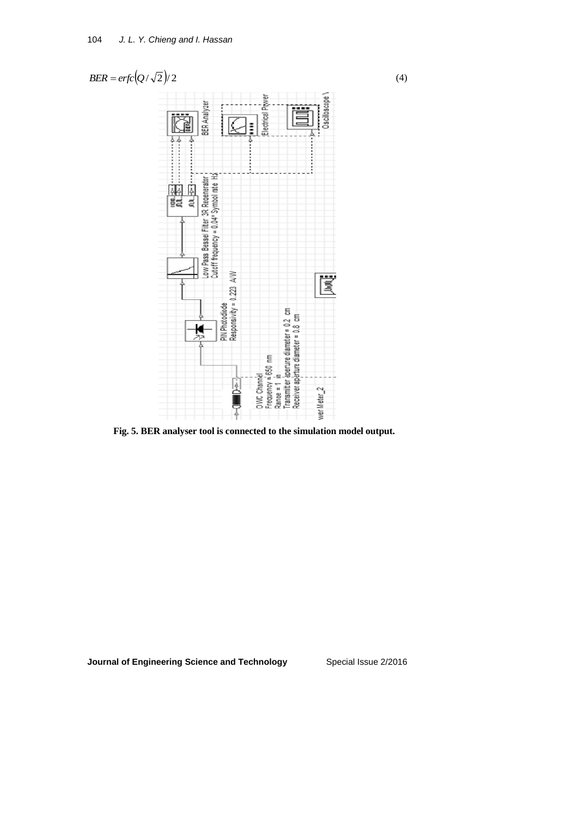

**Fig. 5. BER analyser tool is connected to the simulation model output.**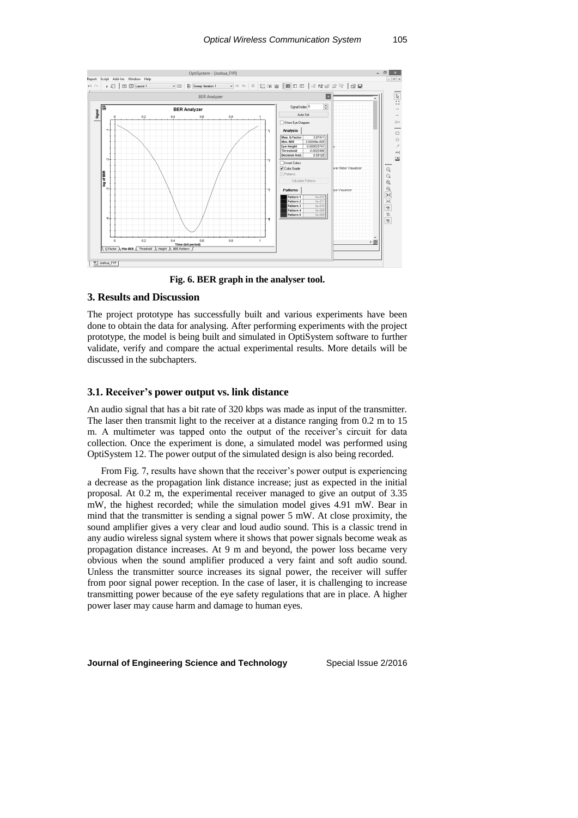

**Fig. 6. BER graph in the analyser tool.**

#### **3. Results and Discussion**

The project prototype has successfully built and various experiments have been done to obtain the data for analysing. After performing experiments with the project prototype, the model is being built and simulated in OptiSystem software to further validate, verify and compare the actual experimental results. More details will be discussed in the subchapters.

#### **3.1. Receiver's power output vs. link distance**

An audio signal that has a bit rate of 320 kbps was made as input of the transmitter. The laser then transmit light to the receiver at a distance ranging from 0.2 m to 15 m. A multimeter was tapped onto the output of the receiver's circuit for data collection. Once the experiment is done, a simulated model was performed using OptiSystem 12. The power output of the simulated design is also being recorded.

From Fig. 7, results have shown that the receiver's power output is experiencing a decrease as the propagation link distance increase; just as expected in the initial proposal. At 0.2 m, the experimental receiver managed to give an output of 3.35 mW, the highest recorded; while the simulation model gives 4.91 mW. Bear in mind that the transmitter is sending a signal power 5 mW. At close proximity, the sound amplifier gives a very clear and loud audio sound. This is a classic trend in any audio wireless signal system where it shows that power signals become weak as propagation distance increases. At 9 m and beyond, the power loss became very obvious when the sound amplifier produced a very faint and soft audio sound. Unless the transmitter source increases its signal power, the receiver will suffer from poor signal power reception. In the case of laser, it is challenging to increase transmitting power because of the eye safety regulations that are in place. A higher power laser may cause harm and damage to human eyes.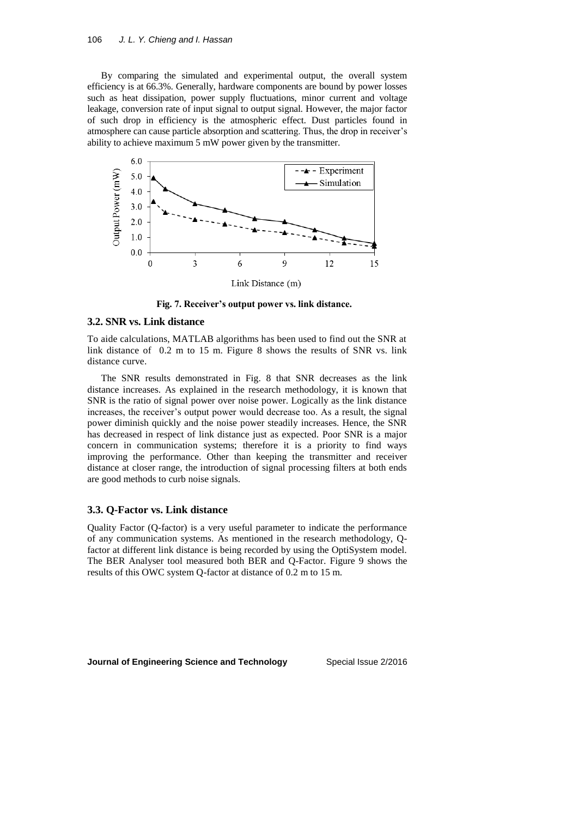By comparing the simulated and experimental output, the overall system efficiency is at 66.3%. Generally, hardware components are bound by power losses such as heat dissipation, power supply fluctuations, minor current and voltage leakage, conversion rate of input signal to output signal. However, the major factor of such drop in efficiency is the atmospheric effect. Dust particles found in atmosphere can cause particle absorption and scattering. Thus, the drop in receiver's ability to achieve maximum 5 mW power given by the transmitter.



**Fig. 7. Receiver's output power vs. link distance.**

#### **3.2. SNR vs. Link distance**

To aide calculations, MATLAB algorithms has been used to find out the SNR at link distance of 0.2 m to 15 m. Figure 8 shows the results of SNR vs. link distance curve.

The SNR results demonstrated in Fig. 8 that SNR decreases as the link distance increases. As explained in the research methodology, it is known that SNR is the ratio of signal power over noise power. Logically as the link distance increases, the receiver's output power would decrease too. As a result, the signal power diminish quickly and the noise power steadily increases. Hence, the SNR has decreased in respect of link distance just as expected. Poor SNR is a major concern in communication systems; therefore it is a priority to find ways improving the performance. Other than keeping the transmitter and receiver distance at closer range, the introduction of signal processing filters at both ends are good methods to curb noise signals.

## **3.3. Q-Factor vs. Link distance**

Quality Factor (Q-factor) is a very useful parameter to indicate the performance of any communication systems. As mentioned in the research methodology, Qfactor at different link distance is being recorded by using the OptiSystem model. The BER Analyser tool measured both BER and Q-Factor. Figure 9 shows the results of this OWC system Q-factor at distance of 0.2 m to 15 m.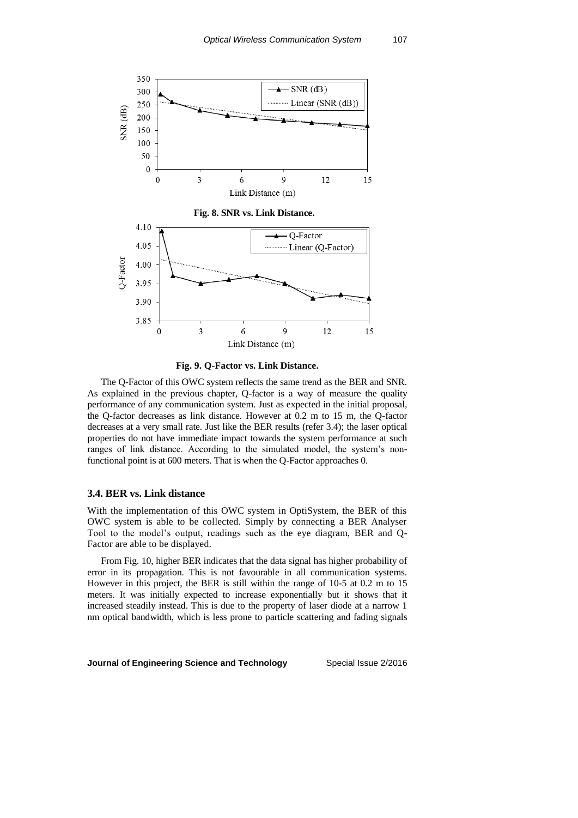



The Q-Factor of this OWC system reflects the same trend as the BER and SNR. As explained in the previous chapter, Q-factor is a way of measure the quality performance of any communication system. Just as expected in the initial proposal, the Q-factor decreases as link distance. However at 0.2 m to 15 m, the Q-factor decreases at a very small rate. Just like the BER results (refer 3.4); the laser optical properties do not have immediate impact towards the system performance at such ranges of link distance. According to the simulated model, the system's nonfunctional point is at 600 meters. That is when the Q-Factor approaches 0.

### **3.4. BER vs. Link distance**

With the implementation of this OWC system in OptiSystem, the BER of this OWC system is able to be collected. Simply by connecting a BER Analyser Tool to the model's output, readings such as the eye diagram, BER and Q-Factor are able to be displayed.

From Fig. 10, higher BER indicates that the data signal has higher probability of error in its propagation. This is not favourable in all communication systems. However in this project, the BER is still within the range of 10-5 at 0.2 m to 15 meters. It was initially expected to increase exponentially but it shows that it increased steadily instead. This is due to the property of laser diode at a narrow 1 nm optical bandwidth, which is less prone to particle scattering and fading signals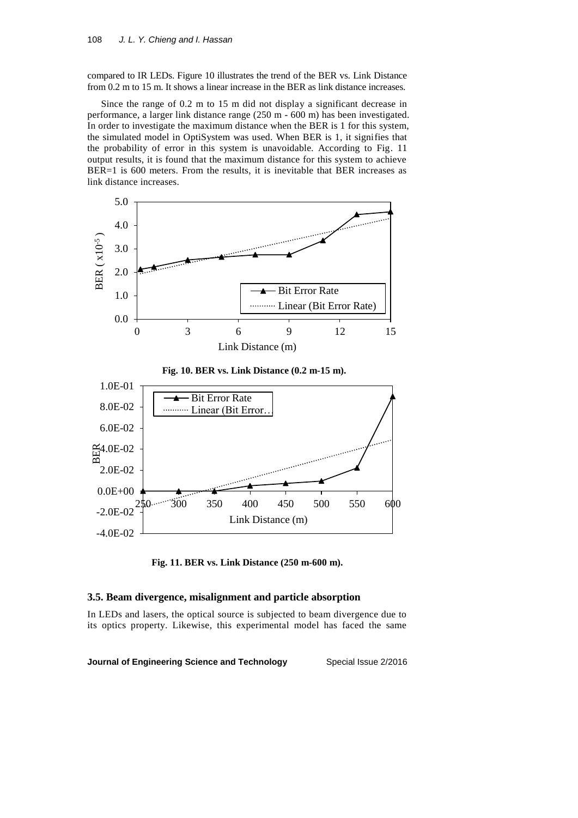compared to IR LEDs. Figure 10 illustrates the trend of the BER vs. Link Distance from 0.2 m to 15 m. It shows a linear increase in the BER as link distance increases.

Since the range of 0.2 m to 15 m did not display a significant decrease in performance, a larger link distance range (250 m - 600 m) has been investigated. In order to investigate the maximum distance when the BER is 1 for this system, the simulated model in OptiSystem was used. When BER is 1, it signifies that the probability of error in this system is unavoidable. According to Fig. 11 output results, it is found that the maximum distance for this system to achieve BER=1 is 600 meters. From the results, it is inevitable that BER increases as link distance increases.



**Fig. 11. BER vs. Link Distance (250 m-600 m).**

#### **3.5. Beam divergence, misalignment and particle absorption**

In LEDs and lasers, the optical source is subjected to beam divergence due to its optics property. Likewise, this experimental model has faced the same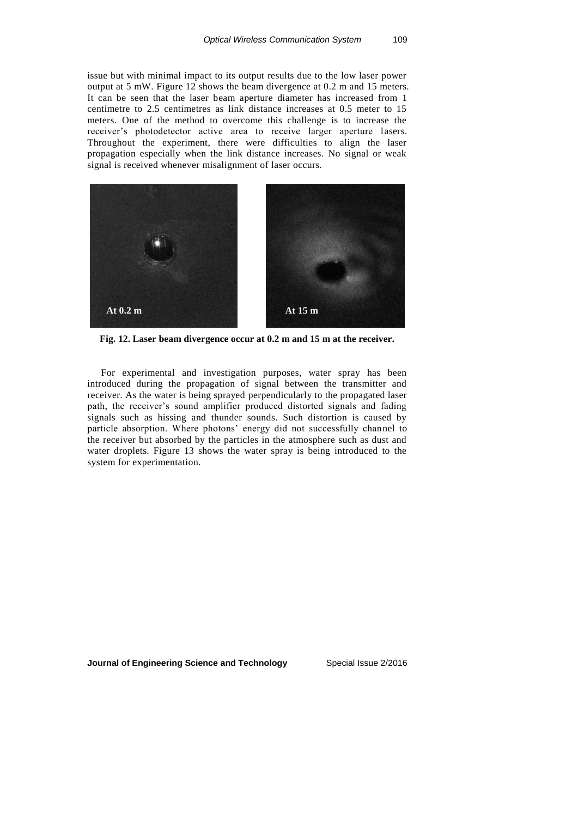issue but with minimal impact to its output results due to the low laser power output at 5 mW. Figure 12 shows the beam divergence at 0.2 m and 15 meters. It can be seen that the laser beam aperture diameter has increased from 1 centimetre to 2.5 centimetres as link distance increases at 0.5 meter to 15 meters. One of the method to overcome this challenge is to increase the receiver's photodetector active area to receive larger aperture lasers. Throughout the experiment, there were difficulties to align the laser propagation especially when the link distance increases. No signal or weak signal is received whenever misalignment of laser occurs.



**Fig. 12. Laser beam divergence occur at 0.2 m and 15 m at the receiver.**

For experimental and investigation purposes, water spray has been introduced during the propagation of signal between the transmitter and receiver. As the water is being sprayed perpendicularly to the propagated laser path, the receiver's sound amplifier produced distorted signals and fading signals such as hissing and thunder sounds. Such distortion is caused by particle absorption. Where photons' energy did not successfully channel to the receiver but absorbed by the particles in the atmosphere such as dust and water droplets. Figure 13 shows the water spray is being introduced to the system for experimentation.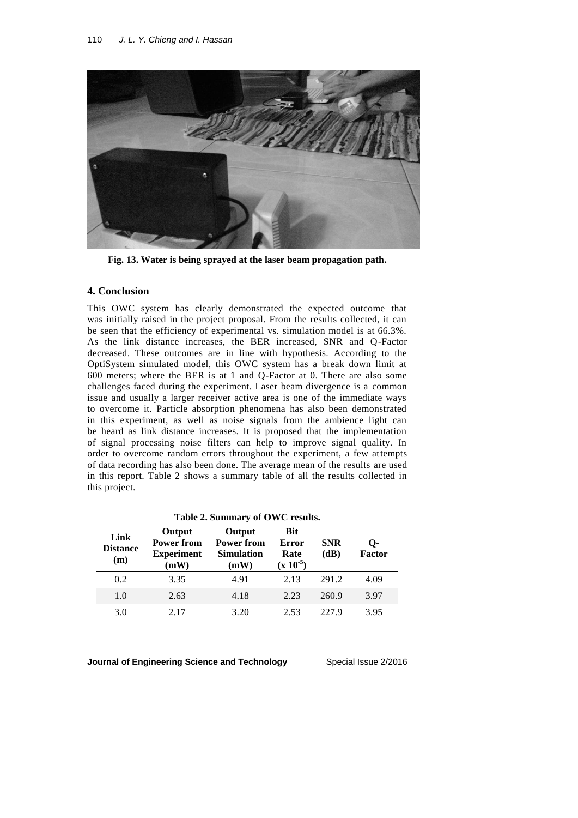

**Fig. 13. Water is being sprayed at the laser beam propagation path.**

## **4. Conclusion**

This OWC system has clearly demonstrated the expected outcome that was initially raised in the project proposal. From the results collected, it can be seen that the efficiency of experimental vs. simulation model is at 66.3%. As the link distance increases, the BER increased, SNR and Q-Factor decreased. These outcomes are in line with hypothesis. According to the OptiSystem simulated model, this OWC system has a break down limit at 600 meters; where the BER is at 1 and Q-Factor at 0. There are also some challenges faced during the experiment. Laser beam divergence is a common issue and usually a larger receiver active area is one of the immediate ways to overcome it. Particle absorption phenomena has also been demonstrated in this experiment, as well as noise signals from the ambience light can be heard as link distance increases. It is proposed that the implementation of signal processing noise filters can help to improve signal quality. In order to overcome random errors throughout the experiment, a few attempts of data recording has also been done. The average mean of the results are used in this report. Table 2 shows a summary table of all the results collected in this project.

| Table 2. Summary of OWC results. |                                                          |                                                          |                                              |                    |                     |  |  |
|----------------------------------|----------------------------------------------------------|----------------------------------------------------------|----------------------------------------------|--------------------|---------------------|--|--|
| Link<br><b>Distance</b><br>(m)   | Output<br><b>Power from</b><br><b>Experiment</b><br>(mW) | Output<br><b>Power from</b><br><b>Simulation</b><br>(mW) | <b>Bit</b><br>Error<br>Rate<br>$(x 10^{-5})$ | <b>SNR</b><br>(dB) | О-<br><b>Factor</b> |  |  |
| 0.2                              | 3.35                                                     | 4.91                                                     | 2.13                                         | 291.2              | 4.09                |  |  |
| 1.0                              | 2.63                                                     | 4.18                                                     | 2.23                                         | 260.9              | 3.97                |  |  |
| 3.0                              | 2.17                                                     | 3.20                                                     | 2.53                                         | 227.9              | 3.95                |  |  |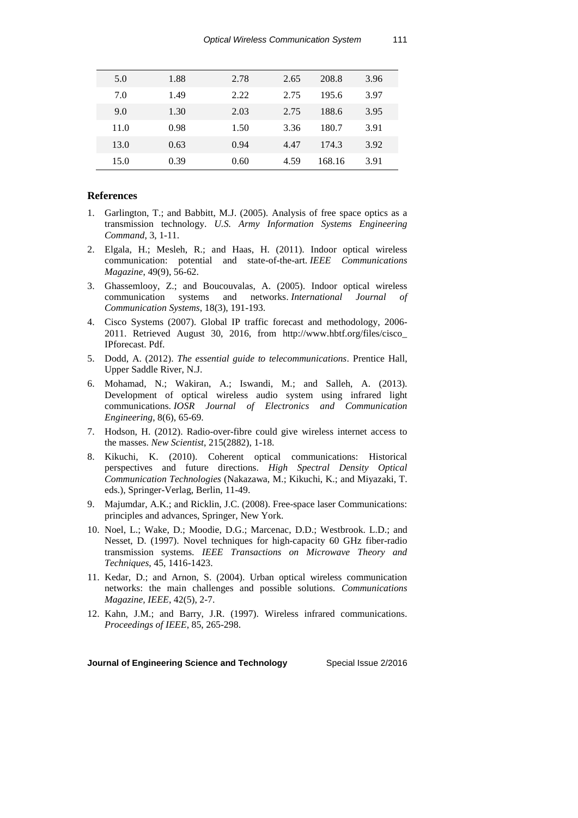| 5.0  | 1.88 | 2.78 | 2.65 | 208.8  | 3.96 |  |
|------|------|------|------|--------|------|--|
| 7.0  | 1.49 | 2.22 | 2.75 | 195.6  | 3.97 |  |
| 9.0  | 1.30 | 2.03 | 2.75 | 188.6  | 3.95 |  |
| 11.0 | 0.98 | 1.50 | 3.36 | 180.7  | 3.91 |  |
| 13.0 | 0.63 | 0.94 | 4.47 | 174.3  | 3.92 |  |
| 15.0 | 0.39 | 0.60 | 4.59 | 168.16 | 3.91 |  |

## **References**

- 1. Garlington, T.; and Babbitt, M.J. (2005). Analysis of free space optics as a transmission technology. *U.S. Army Information Systems Engineering Command*, 3, 1-11.
- 2. Elgala, H.; Mesleh, R.; and Haas, H. (2011). Indoor optical wireless communication: potential and state-of-the-art. *IEEE Communications Magazine*, 49(9), 56-62.
- 3. Ghassemlooy, Z.; and Boucouvalas, A. (2005). Indoor optical wireless communication systems and networks. *International Journal of Communication Systems*, 18(3), 191-193.
- 4. Cisco Systems (2007). Global IP traffic forecast and methodology, 2006- 2011. Retrieved August 30, 2016, from [http://www.hbtf.org/files/cisco\\_](http://www.hbtf.org/files/cisco_) IPforecast. Pdf.
- 5. Dodd, A. (2012). *The essential guide to telecommunications*. Prentice Hall, Upper Saddle River, N.J.
- 6. Mohamad, N.; Wakiran, A.; Iswandi, M.; and Salleh, A. (2013). Development of optical wireless audio system using infrared light communications. *IOSR Journal of Electronics and Communication Engineering*, 8(6), 65-69.
- 7. Hodson, H. (2012). Radio-over-fibre could give wireless internet access to the masses. *New Scientist*, 215(2882), 1-18.
- 8. Kikuchi, K. (2010). Coherent optical communications: Historical perspectives and future directions. *High Spectral Density Optical Communication Technologies* (Nakazawa, M.; Kikuchi, K.; and Miyazaki, T. eds.), Springer-Verlag, Berlin, 11-49.
- 9. Majumdar, A.K.; and Ricklin, J.C. (2008). Free-space laser Communications: principles and advances, Springer, New York.
- 10. Noel, L.; Wake, D.; Moodie, D.G.; Marcenac, D.D.; Westbrook. L.D.; and Nesset, D. (1997). Novel techniques for high-capacity 60 GHz fiber-radio transmission systems. *IEEE Transactions on Microwave Theory and Techniques*, 45, 1416-1423.
- 11. Kedar, D.; and Arnon, S. (2004). Urban optical wireless communication networks: the main challenges and possible solutions. *Communications Magazine, IEEE*, 42(5), 2-7.
- 12. Kahn, J.M.; and Barry, J.R. (1997). Wireless infrared communications. *Proceedings of IEEE*, 85, 265-298.